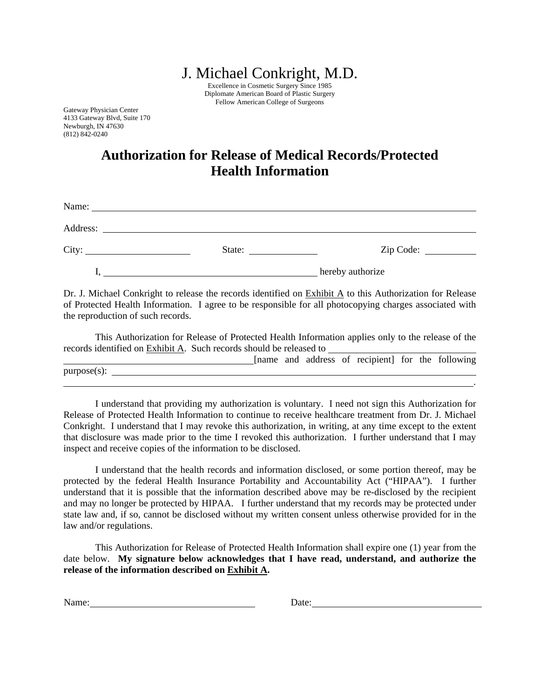J. Michael Conkright, M.D.

Excellence in Cosmetic Surgery Since 1985 Diplomate American Board of Plastic Surgery Fellow American College of Surgeons

Gateway Physician Center 4133 Gateway Blvd, Suite 170 Newburgh, IN 47630 (812) 842-0240

## **Authorization for Release of Medical Records/Protected Health Information**

| Name:<br><u> 1989 - Johann Stoff, deutscher Stoff, der Stoff, der Stoff, der Stoff, der Stoff, der Stoff, der Stoff, der S</u> |                                                                                                                      |                  |
|--------------------------------------------------------------------------------------------------------------------------------|----------------------------------------------------------------------------------------------------------------------|------------------|
| Address:                                                                                                                       | <u> 1989 - John Stein, mars and de final and de final and de final and de final and de final and de final and de</u> |                  |
| City:                                                                                                                          | State:                                                                                                               |                  |
|                                                                                                                                |                                                                                                                      | hereby authorize |

Dr. J. Michael Conkright to release the records identified on Exhibit A to this Authorization for Release of Protected Health Information. I agree to be responsible for all photocopying charges associated with the reproduction of such records.

This Authorization for Release of Protected Health Information applies only to the release of the records identified on Exhibit A. Such records should be released to

|             |  |  | [name and address of recipient] for the following |  |  |
|-------------|--|--|---------------------------------------------------|--|--|
| purpose(s): |  |  |                                                   |  |  |
|             |  |  |                                                   |  |  |

I understand that providing my authorization is voluntary. I need not sign this Authorization for Release of Protected Health Information to continue to receive healthcare treatment from Dr. J. Michael Conkright. I understand that I may revoke this authorization, in writing, at any time except to the extent that disclosure was made prior to the time I revoked this authorization. I further understand that I may inspect and receive copies of the information to be disclosed.

I understand that the health records and information disclosed, or some portion thereof, may be protected by the federal Health Insurance Portability and Accountability Act ("HIPAA"). I further understand that it is possible that the information described above may be re-disclosed by the recipient and may no longer be protected by HIPAA. I further understand that my records may be protected under state law and, if so, cannot be disclosed without my written consent unless otherwise provided for in the law and/or regulations.

This Authorization for Release of Protected Health Information shall expire one (1) year from the date below. **My signature below acknowledges that I have read, understand, and authorize the release of the information described on Exhibit A.** 

Name: Date: Date: